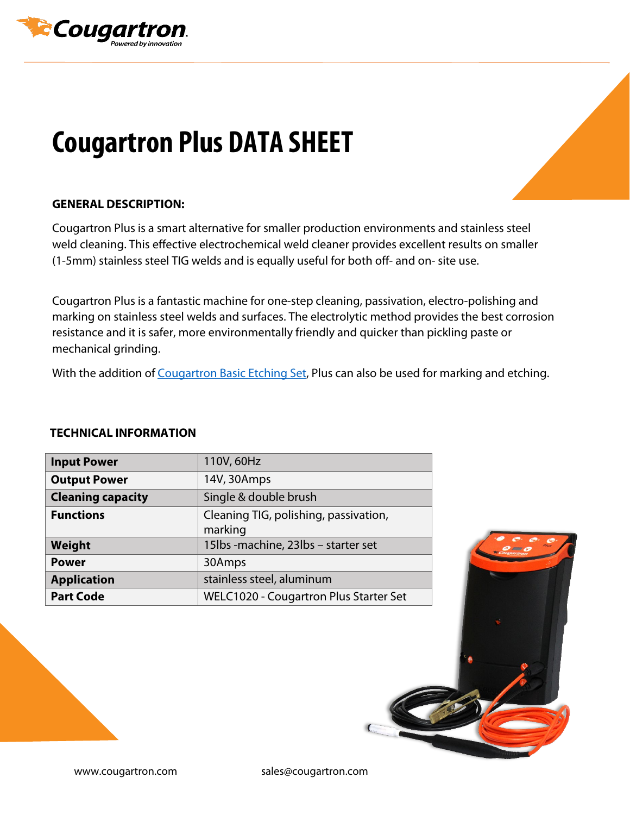

## **Cougartron Plus DATA SHEET**

## **GENERAL DESCRIPTION:**

Cougartron Plus is a smart alternative for smaller production environments and stainless steel weld cleaning. This effective electrochemical weld cleaner provides excellent results on smaller (1-5mm) stainless steel TIG welds and is equally useful for both off- and on- site use.

Cougartron Plus is a fantastic machine for one-step cleaning, passivation, electro-polishing and marking on stainless steel welds and surfaces. The electrolytic method provides the best corrosion resistance and it is safer, more environmentally friendly and quicker than pickling paste or mechanical grinding.

With the addition of [Cougartron Basic Etching Set,](https://cougartron.com/products/basic-etching-set/) Plus can also be used for marking and etching.

## **TECHNICAL INFORMATION**

| <b>Input Power</b>       | 110V, 60Hz                                       |
|--------------------------|--------------------------------------------------|
| <b>Output Power</b>      | 14V, 30Amps                                      |
| <b>Cleaning capacity</b> | Single & double brush                            |
| <b>Functions</b>         | Cleaning TIG, polishing, passivation,<br>marking |
| Weight                   | 15lbs - machine, 23lbs - starter set             |
| <b>Power</b>             | 30Amps                                           |
| <b>Application</b>       | stainless steel, aluminum                        |
| <b>Part Code</b>         | WELC1020 - Cougartron Plus Starter Set           |



www.cougartron.com sales@cougartron.com